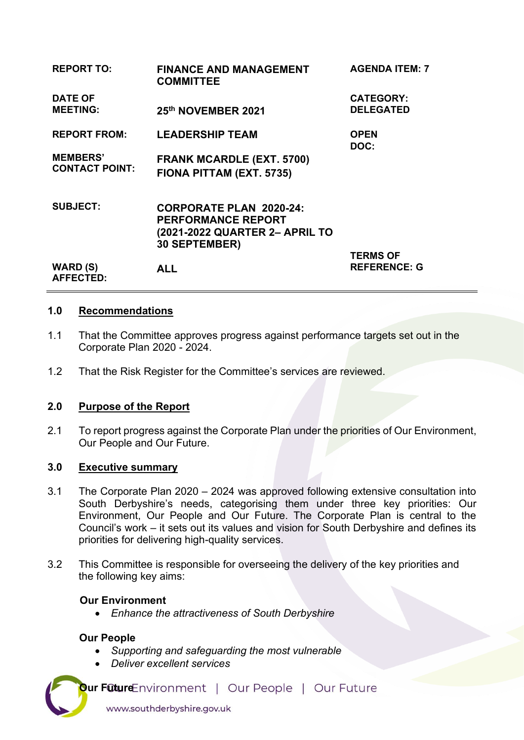| <b>REPORT TO:</b>                        | <b>FINANCE AND MANAGEMENT</b><br><b>COMMITTEE</b>                                                                     | <b>AGENDA ITEM: 7</b>                |
|------------------------------------------|-----------------------------------------------------------------------------------------------------------------------|--------------------------------------|
| <b>DATE OF</b><br><b>MEETING:</b>        | 25th NOVEMBER 2021                                                                                                    | <b>CATEGORY:</b><br><b>DELEGATED</b> |
| <b>REPORT FROM:</b>                      | <b>LEADERSHIP TEAM</b>                                                                                                | <b>OPEN</b><br>DOC:                  |
| <b>MEMBERS'</b><br><b>CONTACT POINT:</b> | <b>FRANK MCARDLE (EXT. 5700)</b><br>FIONA PITTAM (EXT. 5735)                                                          |                                      |
| <b>SUBJECT:</b>                          | <b>CORPORATE PLAN 2020-24:</b><br><b>PERFORMANCE REPORT</b><br>(2021-2022 QUARTER 2- APRIL TO<br><b>30 SEPTEMBER)</b> | <b>TERMS OF</b>                      |
| WARD (S)<br><b>AFFECTED:</b>             | <b>ALL</b>                                                                                                            | <b>REFERENCE: G</b>                  |

### **1.0 Recommendations**

- 1.1 That the Committee approves progress against performance targets set out in the Corporate Plan 2020 - 2024.
- 1.2 That the Risk Register for the Committee's services are reviewed.

# **2.0 Purpose of the Report**

2.1 To report progress against the Corporate Plan under the priorities of Our Environment, Our People and Our Future.

## **3.0 Executive summary**

- 3.1 The Corporate Plan 2020 2024 was approved following extensive consultation into South Derbyshire's needs, categorising them under three key priorities: Our Environment, Our People and Our Future. The Corporate Plan is central to the Council's work – it sets out its values and vision for South Derbyshire and defines its priorities for delivering high-quality services.
- 3.2 This Committee is responsible for overseeing the delivery of the key priorities and the following key aims:

# **Our Environment**

• *Enhance the attractiveness of South Derbyshire* 

### **Our People**

- *Supporting and safeguarding the most vulnerable*
- *Deliver excellent services*

**Our Future** Environment | Our People | Our Future www.southderbyshire.gov.uk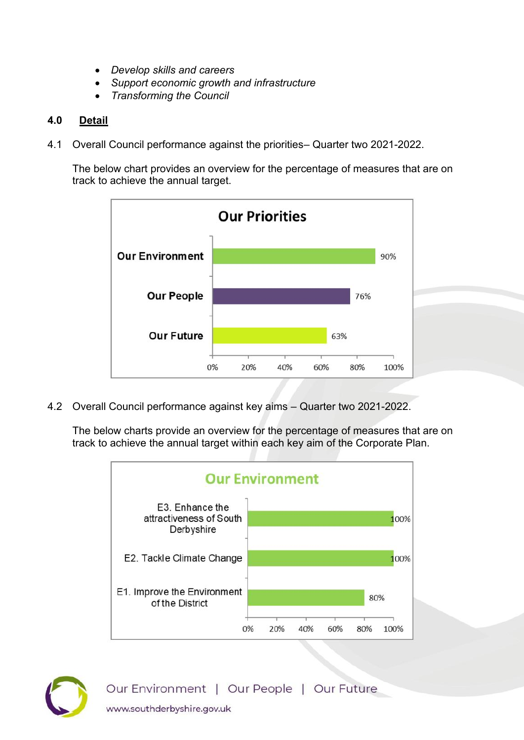- *Develop skills and careers*
- *Support economic growth and infrastructure*
- *Transforming the Council*

# **4.0 Detail**

4.1 Overall Council performance against the priorities– Quarter two 2021-2022.

 The below chart provides an overview for the percentage of measures that are on track to achieve the annual target.



4.2 Overall Council performance against key aims – Quarter two 2021-2022.

 The below charts provide an overview for the percentage of measures that are on track to achieve the annual target within each key aim of the Corporate Plan.





Our Environment | Our People | Our Future www.southderbyshire.gov.uk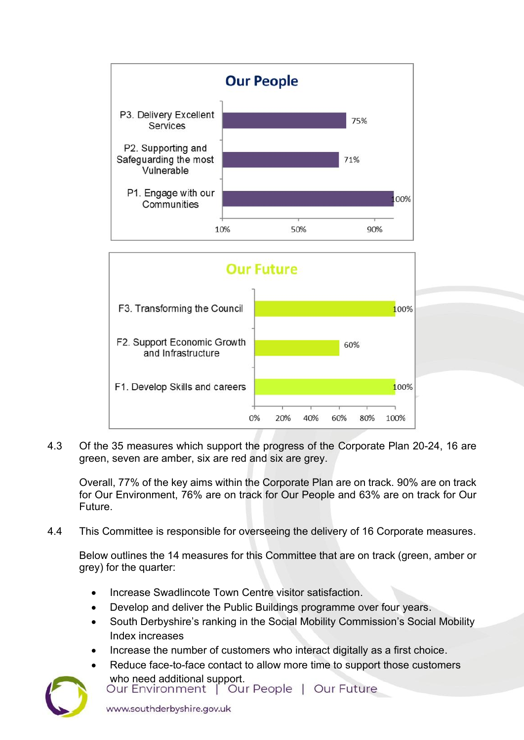



4.3 Of the 35 measures which support the progress of the Corporate Plan 20-24, 16 are green, seven are amber, six are red and six are grey.

Overall, 77% of the key aims within the Corporate Plan are on track. 90% are on track for Our Environment, 76% are on track for Our People and 63% are on track for Our Future.

4.4 This Committee is responsible for overseeing the delivery of 16 Corporate measures.

Below outlines the 14 measures for this Committee that are on track (green, amber or grey) for the quarter:

- Increase Swadlincote Town Centre visitor satisfaction.
- Develop and deliver the Public Buildings programme over four years.
- South Derbyshire's ranking in the Social Mobility Commission's Social Mobility Index increases
- [Increase the number of customers who interact digitally as a first choice.](https://southderbyshiregovuk.sharepoint.com/:w:/g/ERBlXwIN5i9It53WD-41148B1j_Xhoszu9rFmw-my7ct_w?e=3axgeV)
- Reduce face-to-face contact to allow more time to support those customers [who need additional support.](https://southderbyshiregovuk.sharepoint.com/:w:/g/ERsK_2eQOEFCtLQbdQzaTuAByPro1sawtMCs4YszErr-pw?e=bdTysg)<br>Our Environment | Our People | Our Future

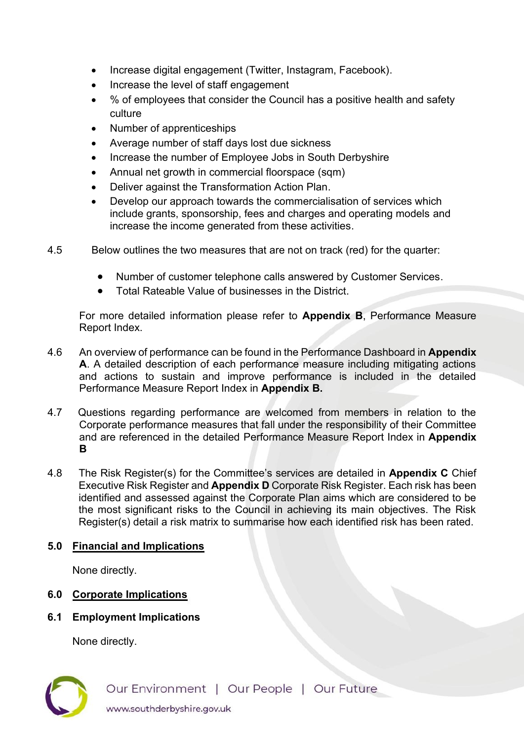- [Increase digital engagement \(Twitter, Instagram, Facebook\).](https://southderbyshiregovuk.sharepoint.com/:w:/g/EU7_hHmehltAqnFXv5MZTVMBldRppq-lEM681waYAZKfIA?e=fKJfsc)
- Increase the level of staff engagement
- % of employees that consider the Council has a positive health and safety culture
- Number of apprenticeships
- Average number of staff days lost due sickness
- Increase the number of Employee Jobs in South Derbyshire
- Annual net growth in commercial floorspace (sqm)
- [Deliver against the Transformation Action Plan.](https://southderbyshiregovuk.sharepoint.com/:w:/g/EWygLyTFirlHupC7gA2GUHQBxytpxB_EWezcDzPs8xKAjQ?e=m7zrdc)
- [Develop our approach towards the commercialisation of services which](https://southderbyshiregovuk.sharepoint.com/:w:/g/EdRZL78XqTBHpZm4ut-IXvcBQqZMtxcigHIZvBKTBciDAg?e=PfK6EA)  [include grants, sponsorship, fees and charges and operating models and](https://southderbyshiregovuk.sharepoint.com/:w:/g/EdRZL78XqTBHpZm4ut-IXvcBQqZMtxcigHIZvBKTBciDAg?e=PfK6EA)  [increase the income generated from these activities.](https://southderbyshiregovuk.sharepoint.com/:w:/g/EdRZL78XqTBHpZm4ut-IXvcBQqZMtxcigHIZvBKTBciDAg?e=PfK6EA)
- 4.5 Below outlines the two measures that are not on track (red) for the quarter:
	- Number of customer telephone calls answered by Customer Services.
	- Total Rateable Value of businesses in the District.

For more detailed information please refer to **Appendix B**, Performance Measure Report Index.

- 4.6 An overview of performance can be found in the Performance Dashboard in **Appendix A**. A detailed description of each performance measure including mitigating actions and actions to sustain and improve performance is included in the detailed Performance Measure Report Index in **Appendix B.**
- 4.7 Questions regarding performance are welcomed from members in relation to the Corporate performance measures that fall under the responsibility of their Committee and are referenced in the detailed Performance Measure Report Index in **Appendix B**
- 4.8 The Risk Register(s) for the Committee's services are detailed in **Appendix C** Chief Executive Risk Register and **Appendix D** Corporate Risk Register. Each risk has been identified and assessed against the Corporate Plan aims which are considered to be the most significant risks to the Council in achieving its main objectives. The Risk Register(s) detail a risk matrix to summarise how each identified risk has been rated.

# **5.0 Financial and Implications**

None directly.

# **6.0 Corporate Implications**

# **6.1 Employment Implications**

None directly.

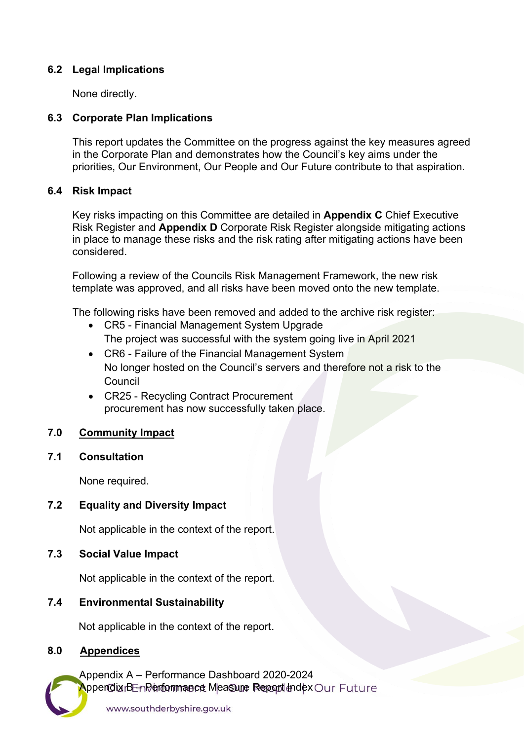## **6.2 Legal Implications**

None directly.

# **6.3 Corporate Plan Implications**

 This report updates the Committee on the progress against the key measures agreed in the Corporate Plan and demonstrates how the Council's key aims under the priorities, Our Environment, Our People and Our Future contribute to that aspiration.

## **6.4 Risk Impact**

 Key risks impacting on this Committee are detailed in **Appendix C** Chief Executive Risk Register and **Appendix D** Corporate Risk Register alongside mitigating actions in place to manage these risks and the risk rating after mitigating actions have been considered.

 Following a review of the Councils Risk Management Framework, the new risk template was approved, and all risks have been moved onto the new template.

The following risks have been removed and added to the archive risk register:

- CR5 Financial Management System Upgrade The project was successful with the system going live in April 2021
- CR6 Failure of the Financial Management System No longer hosted on the Council's servers and therefore not a risk to the Council
- CR25 Recycling Contract Procurement procurement has now successfully taken place.

# **7.0 Community Impact**

### **7.1 Consultation**

None required.

# **7.2 Equality and Diversity Impact**

Not applicable in the context of the report.

**7.3 Social Value Impact** 

Not applicable in the context of the report.

### **7.4 Environmental Sustainability**

Not applicable in the context of the report.

## **8.0 Appendices**

Appendix A – Performance Dashboard 2020-2024 **Appendix BE-nPerformmance Measure Report Index Our Future**